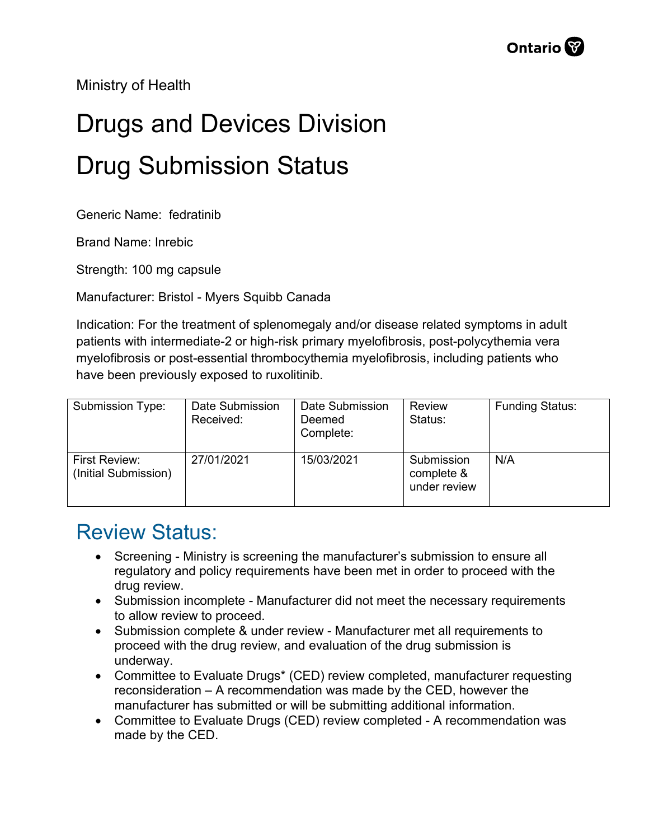Ministry of Health

## Drugs and Devices Division Drug Submission Status

Generic Name: fedratinib

Brand Name: Inrebic

Strength: 100 mg capsule

Manufacturer: Bristol - Myers Squibb Canada

Indication: For the treatment of splenomegaly and/or disease related symptoms in adult patients with intermediate-2 or high-risk primary myelofibrosis, post-polycythemia vera myelofibrosis or post-essential thrombocythemia myelofibrosis, including patients who have been previously exposed to ruxolitinib.

| Submission Type:                      | Date Submission<br>Received: | Date Submission<br>Deemed<br>Complete: | <b>Review</b><br>Status:                 | <b>Funding Status:</b> |
|---------------------------------------|------------------------------|----------------------------------------|------------------------------------------|------------------------|
| First Review:<br>(Initial Submission) | 27/01/2021                   | 15/03/2021                             | Submission<br>complete &<br>under review | N/A                    |

## Review Status:

- Screening Ministry is screening the manufacturer's submission to ensure all regulatory and policy requirements have been met in order to proceed with the drug review.
- Submission incomplete Manufacturer did not meet the necessary requirements to allow review to proceed.
- Submission complete & under review Manufacturer met all requirements to proceed with the drug review, and evaluation of the drug submission is underway.
- Committee to Evaluate Drugs\* (CED) review completed, manufacturer requesting reconsideration – A recommendation was made by the CED, however the manufacturer has submitted or will be submitting additional information.
- Committee to Evaluate Drugs (CED) review completed A recommendation was made by the CED.